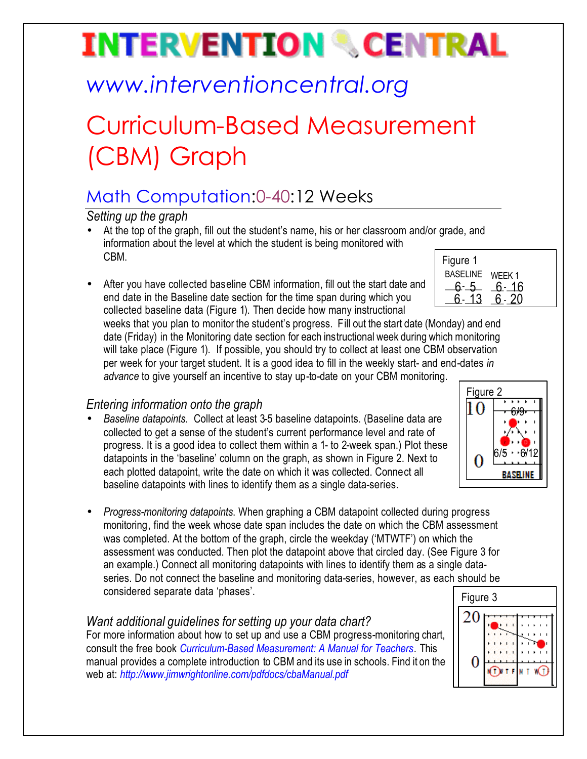# **INTERVENTION & CENTRAL**

## *www.interventioncentral.org*

## Curriculum-Based Measurement (CBM) Graph

### Math Computation:0-40:12 Weeks

*Setting up the graph*

- Figure 1 • At the top of the graph, fill out the student's name, his or her classroom and/or grade, and information about the level at which the student is being monitored with CBM.
- After you have collected baseline CBM information, fill out the start date and end date in the Baseline date section for the time span during which you collected baseline data (Figure 1). Then decide how many instructional

BASELINE WEEK 1  $-6 - 5 - 6 - 16$  $6 - 13$   $6 - 20$ 

weeks that you plan to monitor the student's progress. Fill out the start date (Monday) and end date (Friday) in the Monitoring date section for each instructional week during which monitoring will take place (Figure 1). If possible, you should try to collect at least one CBM observation per week for your target student. It is a good idea to fill in the weekly start- and end-dates *in advance* to give yourself an incentive to stay up-to-date on your CBM monitoring.

### *Entering information onto the graph*

- *Baseline datapoints*. Collect at least 3-5 baseline datapoints. (Baseline data are collected to get a sense of the student's current performance level and rate of progress. It is a good idea to collect them within a 1- to 2-week span.) Plot these datapoints in the 'baseline' column on the graph, as shown in Figure 2. Next to each plotted datapoint, write the date on which it was collected. Connect all baseline datapoints with lines to identify them as a single data-series.
- *Progress-monitoring datapoints*. When graphing a CBM datapoint collected during progress monitoring, find the week whose date span includes the date on which the CBM assessment was completed. At the bottom of the graph, circle the weekday ('MTWTF') on which the assessment was conducted. Then plot the datapoint above that circled day. (See Figure 3 for an example.) Connect all monitoring datapoints with lines to identify them as a single dataseries. Do not connect the baseline and monitoring data-series, however, as each should be considered separate data 'phases'.

#### *Want additional guidelines for setting up your data chart?*

For more information about how to set up and use a CBM progress-monitoring chart, consult the free book *Curriculum-Based Measurement: A Manual for Teachers.* This manual provides a complete introduction to CBM and its use in schools. Find it on the web at: *http://www.jimwrightonline.com/pdfdocs/cbaManual.pdf*